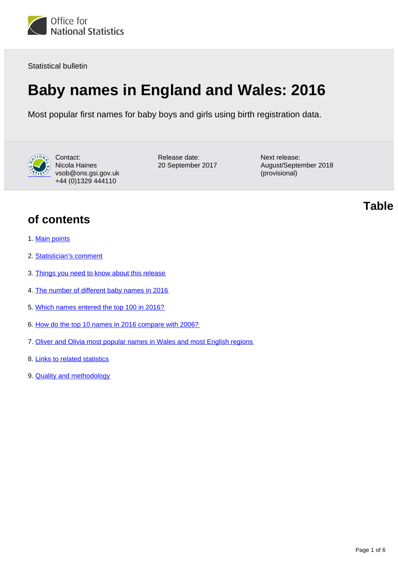

Statistical bulletin

# **Baby names in England and Wales: 2016**

Most popular first names for baby boys and girls using birth registration data.



Contact: Nicola Haines vsob@ons.gsi.gov.uk +44 (0)1329 444110

Release date: 20 September 2017 Next release: August/September 2018 (provisional)

**Table** 

### **of contents**

- 1. [Main points](#page-1-0)
- 2. [Statistician's comment](#page-1-1)
- 3. [Things you need to know about this release](#page-1-2)
- 4. [The number of different baby names in 2016](#page-2-0)
- 5. [Which names entered the top 100 in 2016?](#page-2-1)
- 6. [How do the top 10 names in 2016 compare with 2006?](#page-3-0)
- 7. [Oliver and Olivia most popular names in Wales and most English regions](#page-3-1)
- 8. [Links to related statistics](#page-4-0)
- 9. [Quality and methodology](#page-4-1)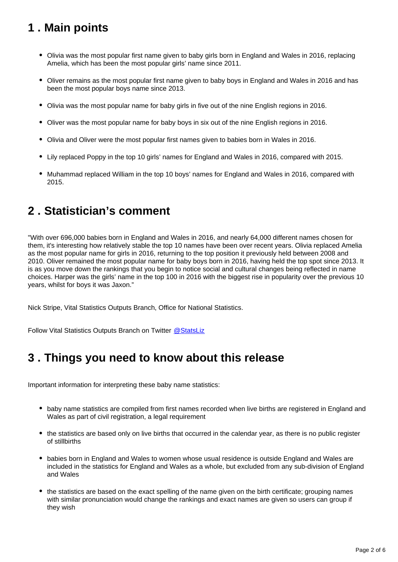# <span id="page-1-0"></span>**1 . Main points**

- Olivia was the most popular first name given to baby girls born in England and Wales in 2016, replacing Amelia, which has been the most popular girls' name since 2011.
- Oliver remains as the most popular first name given to baby boys in England and Wales in 2016 and has been the most popular boys name since 2013.
- Olivia was the most popular name for baby girls in five out of the nine English regions in 2016.
- Oliver was the most popular name for baby boys in six out of the nine English regions in 2016.
- Olivia and Oliver were the most popular first names given to babies born in Wales in 2016.
- Lily replaced Poppy in the top 10 girls' names for England and Wales in 2016, compared with 2015.
- Muhammad replaced William in the top 10 boys' names for England and Wales in 2016, compared with 2015.

### <span id="page-1-1"></span>**2 . Statistician's comment**

"With over 696,000 babies born in England and Wales in 2016, and nearly 64,000 different names chosen for them, it's interesting how relatively stable the top 10 names have been over recent years. Olivia replaced Amelia as the most popular name for girls in 2016, returning to the top position it previously held between 2008 and 2010. Oliver remained the most popular name for baby boys born in 2016, having held the top spot since 2013. It is as you move down the rankings that you begin to notice social and cultural changes being reflected in name choices. Harper was the girls' name in the top 100 in 2016 with the biggest rise in popularity over the previous 10 years, whilst for boys it was Jaxon."

Nick Stripe, Vital Statistics Outputs Branch, Office for National Statistics.

Follow Vital Statistics Outputs Branch on Twitter [@StatsLiz](https://twitter.com/StatsLiz?ref_src=twsrc%5Etfw)

### <span id="page-1-2"></span>**3 . Things you need to know about this release**

Important information for interpreting these baby name statistics:

- baby name statistics are compiled from first names recorded when live births are registered in England and Wales as part of civil registration, a legal requirement
- the statistics are based only on live births that occurred in the calendar year, as there is no public register of stillbirths
- babies born in England and Wales to women whose usual residence is outside England and Wales are included in the statistics for England and Wales as a whole, but excluded from any sub-division of England and Wales
- the statistics are based on the exact spelling of the name given on the birth certificate; grouping names with similar pronunciation would change the rankings and exact names are given so users can group if they wish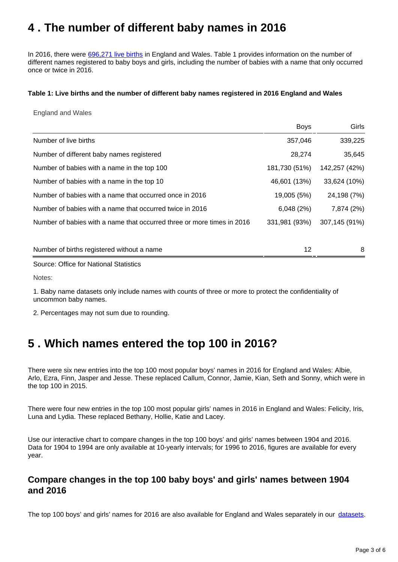### <span id="page-2-0"></span>**4 . The number of different baby names in 2016**

In 2016, there were [696,271 live births](https://www.ons.gov.uk/peoplepopulationandcommunity/birthsdeathsandmarriages/livebirths/bulletins/birthsummarytablesenglandandwales/2016) in England and Wales. Table 1 provides information on the number of different names registered to baby boys and girls, including the number of babies with a name that only occurred once or twice in 2016.

#### **Table 1: Live births and the number of different baby names registered in 2016 England and Wales**

England and Wales

|                                                                        | <b>Boys</b>   | Girls         |
|------------------------------------------------------------------------|---------------|---------------|
| Number of live births                                                  | 357,046       | 339,225       |
| Number of different baby names registered                              | 28,274        | 35,645        |
| Number of babies with a name in the top 100                            | 181,730 (51%) | 142,257 (42%) |
| Number of babies with a name in the top 10                             | 46,601 (13%)  | 33,624 (10%)  |
| Number of babies with a name that occurred once in 2016                | 19,005 (5%)   | 24,198 (7%)   |
| Number of babies with a name that occurred twice in 2016               | 6,048(2%)     | 7,874 (2%)    |
| Number of babies with a name that occurred three or more times in 2016 | 331,981 (93%) | 307,145 (91%) |
|                                                                        |               |               |
| Number of births registered without a name                             | 12            | 8             |
|                                                                        |               |               |

Source: Office for National Statistics

Notes:

1. Baby name datasets only include names with counts of three or more to protect the confidentiality of uncommon baby names.

2. Percentages may not sum due to rounding.

### <span id="page-2-1"></span>**5 . Which names entered the top 100 in 2016?**

There were six new entries into the top 100 most popular boys' names in 2016 for England and Wales: Albie, Arlo, Ezra, Finn, Jasper and Jesse. These replaced Callum, Connor, Jamie, Kian, Seth and Sonny, which were in the top 100 in 2015.

There were four new entries in the top 100 most popular girls' names in 2016 in England and Wales: Felicity, Iris, Luna and Lydia. These replaced Bethany, Hollie, Katie and Lacey.

Use our interactive chart to compare changes in the top 100 boys' and girls' names between 1904 and 2016. Data for 1904 to 1994 are only available at 10-yearly intervals; for 1996 to 2016, figures are available for every year.

#### **Compare changes in the top 100 baby boys' and girls' names between 1904 and 2016**

The top 100 boys' and girls' names for 2016 are also available for England and Wales separately in our [datasets](https://www.ons.gov.uk/peoplepopulationandcommunity/birthsdeathsandmarriages/livebirths/bulletins/babynamesenglandandwales/2016/relateddata).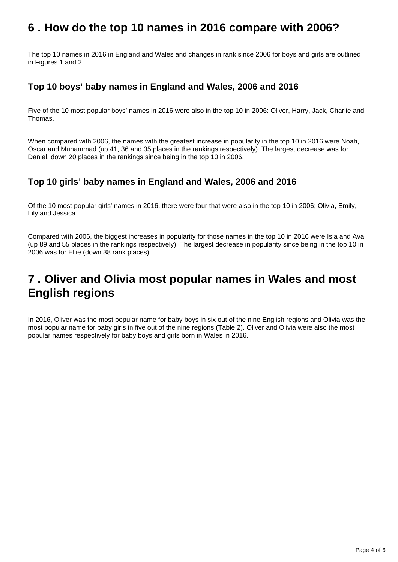### <span id="page-3-0"></span>**6 . How do the top 10 names in 2016 compare with 2006?**

The top 10 names in 2016 in England and Wales and changes in rank since 2006 for boys and girls are outlined in Figures 1 and 2.

### **Top 10 boys' baby names in England and Wales, 2006 and 2016**

Five of the 10 most popular boys' names in 2016 were also in the top 10 in 2006: Oliver, Harry, Jack, Charlie and Thomas.

When compared with 2006, the names with the greatest increase in popularity in the top 10 in 2016 were Noah, Oscar and Muhammad (up 41, 36 and 35 places in the rankings respectively). The largest decrease was for Daniel, down 20 places in the rankings since being in the top 10 in 2006.

### **Top 10 girls' baby names in England and Wales, 2006 and 2016**

Of the 10 most popular girls' names in 2016, there were four that were also in the top 10 in 2006; Olivia, Emily, Lily and Jessica.

Compared with 2006, the biggest increases in popularity for those names in the top 10 in 2016 were Isla and Ava (up 89 and 55 places in the rankings respectively). The largest decrease in popularity since being in the top 10 in 2006 was for Ellie (down 38 rank places).

### <span id="page-3-1"></span>**7 . Oliver and Olivia most popular names in Wales and most English regions**

In 2016, Oliver was the most popular name for baby boys in six out of the nine English regions and Olivia was the most popular name for baby girls in five out of the nine regions (Table 2). Oliver and Olivia were also the most popular names respectively for baby boys and girls born in Wales in 2016.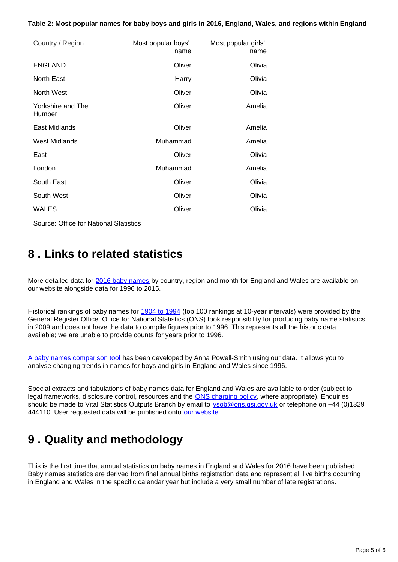#### **Table 2: Most popular names for baby boys and girls in 2016, England, Wales, and regions within England**

| Country / Region            | Most popular boys'<br>name | Most popular girls'<br>name |
|-----------------------------|----------------------------|-----------------------------|
| <b>ENGLAND</b>              | Oliver                     | Olivia                      |
| North East                  | Harry                      | Olivia                      |
| North West                  | Oliver                     | Olivia                      |
| Yorkshire and The<br>Humber | Oliver                     | Amelia                      |
| East Midlands               | Oliver                     | Amelia                      |
| <b>West Midlands</b>        | Muhammad                   | Amelia                      |
| East                        | Oliver                     | Olivia                      |
| London                      | Muhammad                   | Amelia                      |
| South East                  | Oliver                     | Olivia                      |
| South West                  | Oliver                     | Olivia                      |
| <b>WALES</b>                | Oliver                     | Olivia                      |

Source: Office for National Statistics

### <span id="page-4-0"></span>**8 . Links to related statistics**

More detailed data for [2016 baby names](https://www.ons.gov.uk/peoplepopulationandcommunity/birthsdeathsandmarriages/livebirths/bulletins/babynamesenglandandwales/2016/relateddata) by country, region and month for England and Wales are available on our website alongside data for 1996 to 2015.

Historical rankings of baby names for [1904 to 1994](https://www.ons.gov.uk/peoplepopulationandcommunity/birthsdeathsandmarriages/livebirths/datasets/babynamesenglandandwalestop100babynameshistoricaldata) (top 100 rankings at 10-year intervals) were provided by the General Register Office. Office for National Statistics (ONS) took responsibility for producing baby name statistics in 2009 and does not have the data to compile figures prior to 1996. This represents all the historic data available; we are unable to provide counts for years prior to 1996.

[A baby names comparison tool](http://names.darkgreener.com/) has been developed by Anna Powell-Smith using our data. It allows you to analyse changing trends in names for boys and girls in England and Wales since 1996.

Special extracts and tabulations of baby names data for England and Wales are available to order (subject to legal frameworks, disclosure control, resources and the **[ONS charging policy](http://www.ons.gov.uk/aboutus/whatwedo/statistics/publicationscheme)**, where appropriate). Enquiries should be made to Vital Statistics Outputs Branch by email to vsob@ons.gsi.gov.uk or telephone on +44 (0)1329 444110. User requested data will be published onto [our website](https://www.ons.gov.uk/search?q=baby%20names&sortBy=relevance&filter=user_requested_data&q=baby%20names&size=10).

# <span id="page-4-1"></span>**9 . Quality and methodology**

This is the first time that annual statistics on baby names in England and Wales for 2016 have been published. Baby names statistics are derived from final annual births registration data and represent all live births occurring in England and Wales in the specific calendar year but include a very small number of late registrations.